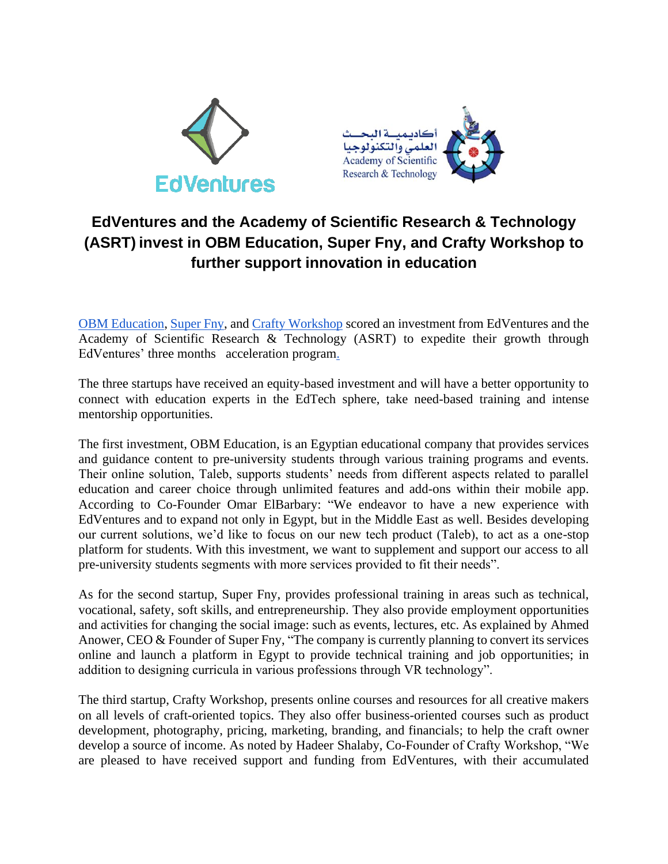



## **EdVentures and the Academy of Scientific Research & Technology (ASRT) invest in OBM Education, Super Fny, and Crafty Workshop to further support innovation in education**

[OBM Education,](https://www.obmeg.com/) [Super Fny,](https://superfny.com/) and [Crafty Workshop](https://www.facebook.com/crafty.workshop.arab/) scored an investment from EdVentures and the Academy of Scientific Research & Technology (ASRT) to expedite their growth through EdVentures' three months acceleration program.

The three startups have received an equity-based investment and will have a better opportunity to connect with education experts in the EdTech sphere, take need-based training and intense mentorship opportunities.

The first investment, OBM Education, is an Egyptian educational company that provides services and guidance content to pre-university students through various training programs and events. Their online solution, Taleb, supports students' needs from different aspects related to parallel education and career choice through unlimited features and add-ons within their mobile app. According to Co-Founder Omar ElBarbary: "We endeavor to have a new experience with EdVentures and to expand not only in Egypt, but in the Middle East as well. Besides developing our current solutions, we'd like to focus on our new tech product (Taleb), to act as a one-stop platform for students. With this investment, we want to supplement and support our access to all pre-university students segments with more services provided to fit their needs".

As for the second startup, Super Fny, provides professional training in areas such as technical, vocational, safety, soft skills, and entrepreneurship. They also provide employment opportunities and activities for changing the social image: such as events, lectures, etc. As explained by Ahmed Anower, CEO & Founder of Super Fny, "The company is currently planning to convert its services online and launch a platform in Egypt to provide technical training and job opportunities; in addition to designing curricula in various professions through VR technology".

The third startup, Crafty Workshop, presents online courses and resources for all creative makers on all levels of craft-oriented topics. They also offer business-oriented courses such as product development, photography, pricing, marketing, branding, and financials; to help the craft owner develop a source of income. As noted by Hadeer Shalaby, Co-Founder of Crafty Workshop, "We are pleased to have received support and funding from EdVentures, with their accumulated